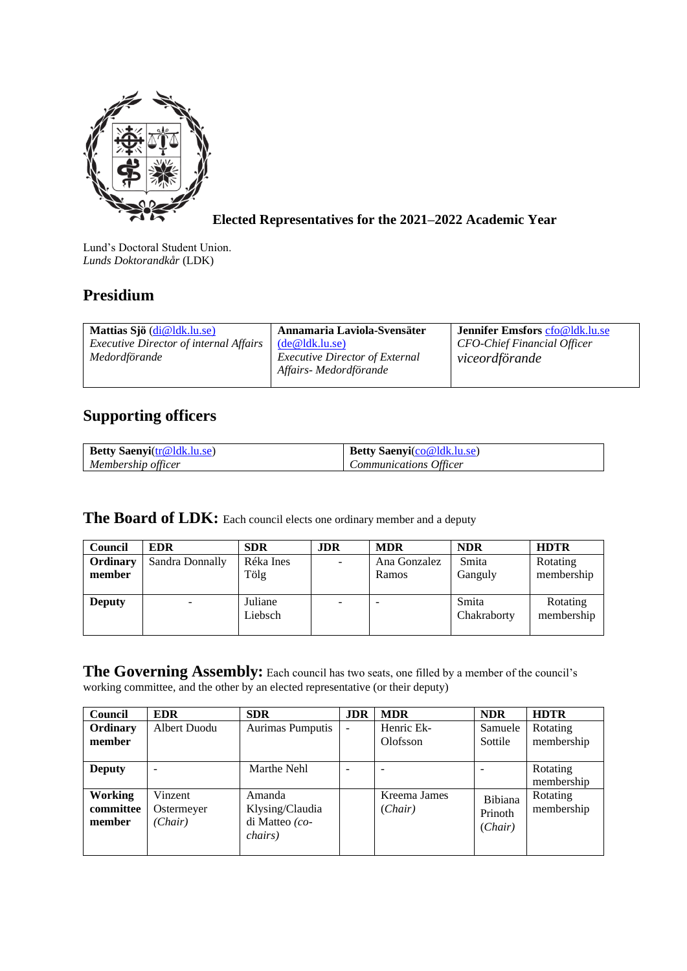

**Elected Representatives for the 2021–2022 Academic Year**

Lund's Doctoral Student Union. *Lunds Doktorandkår* (LDK)

## **Presidium**

| Mattias Sjö (di@ldk.lu.se)                    | Annamaria Laviola-Svensäter                                     | Jennifer Emsfors cfo@ldk.lu.se |
|-----------------------------------------------|-----------------------------------------------------------------|--------------------------------|
| <i>Executive Director of internal Affairs</i> | (de@ldk.lu.se)                                                  | CFO-Chief Financial Officer    |
| Medordförande                                 | <i>Executive Director of External</i><br>Affairs- Medordförande | viceordförande                 |

## **Supporting officers**

| <b>Betty Saenyi</b> (tr@ldk.lu.se) | <b>Betty Saenvi</b> (co@ldk.lu.se) |
|------------------------------------|------------------------------------|
| Membership officer                 | <b>Communications Officer</b>      |

## The Board of LDK: Each council elects one ordinary member and a deputy

| <b>Council</b>     | <b>EDR</b>      | <b>SDR</b>         | <b>JDR</b> | <b>MDR</b>               | <b>NDR</b>           | <b>HDTR</b>            |
|--------------------|-----------------|--------------------|------------|--------------------------|----------------------|------------------------|
| Ordinary<br>member | Sandra Donnally | Réka Ines<br>Tölg  |            | Ana Gonzalez<br>Ramos    | Smita<br>Ganguly     | Rotating<br>membership |
| <b>Deputy</b>      | -               | Juliane<br>Liebsch |            | $\overline{\phantom{0}}$ | Smita<br>Chakraborty | Rotating<br>membership |

The Governing Assembly: Each council has two seats, one filled by a member of the council's working committee, and the other by an elected representative (or their deputy)

| <b>Council</b>                        | <b>EDR</b>                       | <b>SDR</b>                                                     | <b>JDR</b> | <b>MDR</b>              | <b>NDR</b>                    | <b>HDTR</b>            |
|---------------------------------------|----------------------------------|----------------------------------------------------------------|------------|-------------------------|-------------------------------|------------------------|
| Ordinary<br>member                    | Albert Duodu                     | Aurimas Pumputis                                               |            | Henric Ek-<br>Olofsson  | Samuele<br>Sottile            | Rotating<br>membership |
| <b>Deputy</b>                         | $\overline{\phantom{a}}$         | Marthe Nehl                                                    |            |                         |                               | Rotating<br>membership |
| <b>Working</b><br>committee<br>member | Vinzent<br>Ostermeyer<br>(Chair) | Amanda<br>Klysing/Claudia<br>di Matteo (co-<br><i>chairs</i> ) |            | Kreema James<br>(Chair) | Bibiana<br>Prinoth<br>(Chair) | Rotating<br>membership |